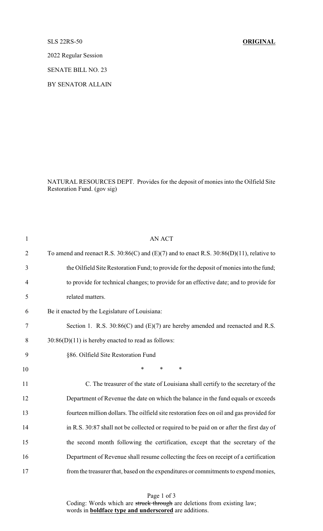## SLS 22RS-50 **ORIGINAL**

2022 Regular Session

SENATE BILL NO. 23

BY SENATOR ALLAIN

NATURAL RESOURCES DEPT. Provides for the deposit of monies into the Oilfield Site Restoration Fund. (gov sig)

| $\mathbf{1}$   | <b>AN ACT</b>                                                                                    |
|----------------|--------------------------------------------------------------------------------------------------|
| $\overline{2}$ | To amend and reenact R.S. $30:86(C)$ and $(E)(7)$ and to enact R.S. $30:86(D)(11)$ , relative to |
| 3              | the Oilfield Site Restoration Fund; to provide for the deposit of monies into the fund;          |
| $\overline{4}$ | to provide for technical changes; to provide for an effective date; and to provide for           |
| 5              | related matters.                                                                                 |
| 6              | Be it enacted by the Legislature of Louisiana:                                                   |
| 7              | Section 1. R.S. $30:86(C)$ and $(E)(7)$ are hereby amended and reenacted and R.S.                |
| 8              | $30:86(D)(11)$ is hereby enacted to read as follows:                                             |
| 9              | §86. Oilfield Site Restoration Fund                                                              |
| 10             | $\ast$<br>*<br>∗                                                                                 |
| 11             | C. The treasurer of the state of Louisiana shall certify to the secretary of the                 |
| 12             | Department of Revenue the date on which the balance in the fund equals or exceeds                |
| 13             | fourteen million dollars. The oilfield site restoration fees on oil and gas provided for         |
| 14             | in R.S. 30:87 shall not be collected or required to be paid on or after the first day of         |
| 15             | the second month following the certification, except that the secretary of the                   |
| 16             | Department of Revenue shall resume collecting the fees on receipt of a certification             |
| 17             | from the treasurer that, based on the expenditures or commitments to expend monies,              |

Page 1 of 3 Coding: Words which are struck through are deletions from existing law; words in **boldface type and underscored** are additions.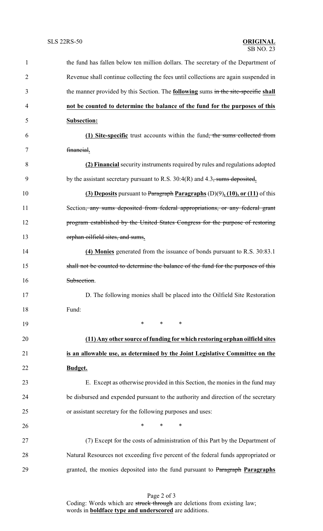| $\mathbf{1}$   | the fund has fallen below ten million dollars. The secretary of the Department of         |
|----------------|-------------------------------------------------------------------------------------------|
| $\overline{2}$ | Revenue shall continue collecting the fees until collections are again suspended in       |
| 3              | the manner provided by this Section. The <b>following</b> sums in the site-specific shall |
| $\overline{4}$ | not be counted to determine the balance of the fund for the purposes of this              |
| 5              | <b>Subsection:</b>                                                                        |
| 6              | (1) Site-specific trust accounts within the fund <del>, the sums collected from</del>     |
| 7              | financial.                                                                                |
| 8              | (2) Financial security instruments required by rules and regulations adopted              |
| 9              | by the assistant secretary pursuant to R.S. $30:4(R)$ and 4.3, sums deposited.            |
| 10             | (3) Deposits pursuant to Paragraph Paragraphs $(D)(9)$ , $(10)$ , or $(11)$ of this       |
| 11             | Section <del>, any sums deposited from federal appropriations, or any federal grant</del> |
| 12             | program established by the United States Congress for the purpose of restoring            |
| 13             | orphan oilfield sites, and sums.                                                          |
| 14             | (4) Monies generated from the issuance of bonds pursuant to R.S. 30:83.1                  |
| 15             | shall not be counted to determine the balance of the fund for the purposes of this        |
| 16             | Subsection.                                                                               |
| 17             | D. The following monies shall be placed into the Oilfield Site Restoration                |
| 18             | Fund:                                                                                     |
| 19             | $\ast$<br>$\ast$<br>$\ast$                                                                |
| 20             | (11) Any other source of funding for which restoring orphan oilfield sites                |
| 21             | is an allowable use, as determined by the Joint Legislative Committee on the              |
| 22             | Budget.                                                                                   |
| 23             | E. Except as otherwise provided in this Section, the monies in the fund may               |
| 24             | be disbursed and expended pursuant to the authority and direction of the secretary        |
| 25             | or assistant secretary for the following purposes and uses:                               |
| 26             | $\ast$<br>$\ast$<br>∗                                                                     |
| 27             | (7) Except for the costs of administration of this Part by the Department of              |
| 28             | Natural Resources not exceeding five percent of the federal funds appropriated or         |
| 29             | granted, the monies deposited into the fund pursuant to Paragraph Paragraphs              |
|                |                                                                                           |

Page 2 of 3 Coding: Words which are struck through are deletions from existing law; words in **boldface type and underscored** are additions.